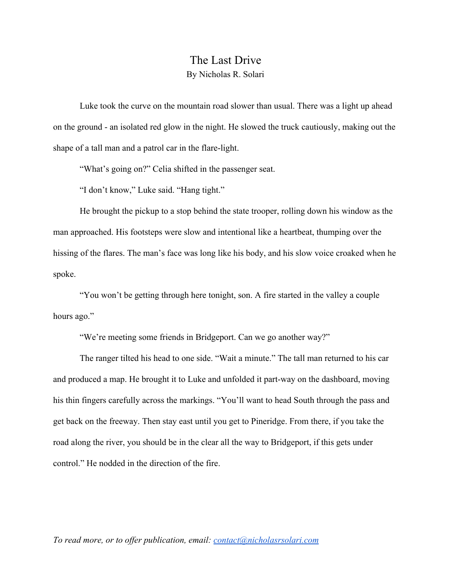## The Last Drive By Nicholas R. Solari

Luke took the curve on the mountain road slower than usual. There was a light up ahead on the ground - an isolated red glow in the night. He slowed the truck cautiously, making out the shape of a tall man and a patrol car in the flare-light.

"What's going on?" Celia shifted in the passenger seat.

"I don't know," Luke said. "Hang tight."

He brought the pickup to a stop behind the state trooper, rolling down his window as the man approached. His footsteps were slow and intentional like a heartbeat, thumping over the hissing of the flares. The man's face was long like his body, and his slow voice croaked when he spoke.

"You won't be getting through here tonight, son. A fire started in the valley a couple hours ago."

"We're meeting some friends in Bridgeport. Can we go another way?"

The ranger tilted his head to one side. "Wait a minute." The tall man returned to his car and produced a map. He brought it to Luke and unfolded it part-way on the dashboard, moving his thin fingers carefully across the markings. "You'll want to head South through the pass and get back on the freeway. Then stay east until you get to Pineridge. From there, if you take the road along the river, you should be in the clear all the way to Bridgeport, if this gets under control." He nodded in the direction of the fire.

*To read more, or to offer publication, email: [contact@nicholasrsolari.com](mailto:contact@nicholasrsolari.com)*